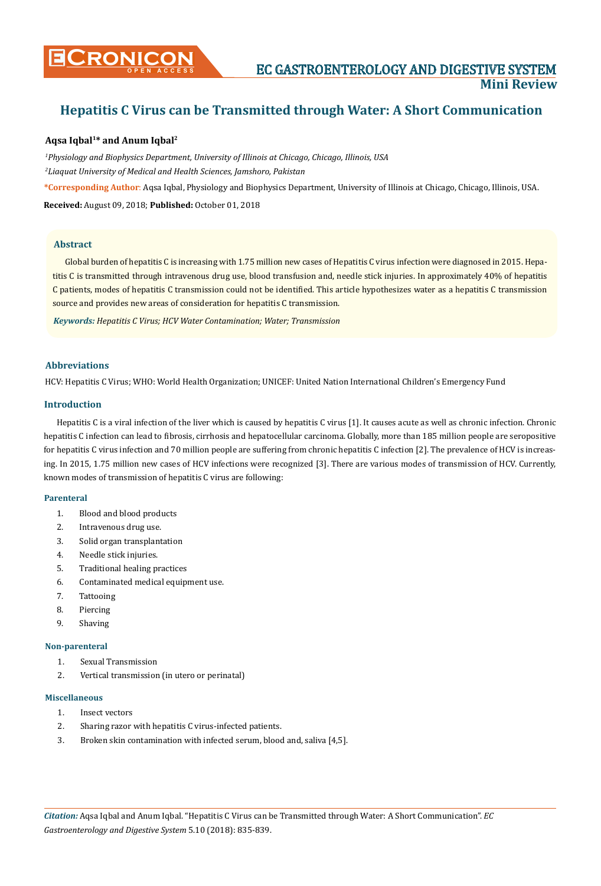# **Hepatitis C Virus can be Transmitted through Water: A Short Communication**

## **Aqsa Iqbal1\* and Anum Iqbal2**

*1 Physiology and Biophysics Department, University of Illinois at Chicago, Chicago, Illinois, USA 2 Liaquat University of Medical and Health Sciences, Jamshoro, Pakistan* **\*Corresponding Author**: Aqsa Iqbal, Physiology and Biophysics Department, University of Illinois at Chicago, Chicago, Illinois, USA.

**Received:** August 09, 2018; **Published:** October 01, 2018

#### **Abstract**

Global burden of hepatitis C is increasing with 1.75 million new cases of Hepatitis C virus infection were diagnosed in 2015. Hepatitis C is transmitted through intravenous drug use, blood transfusion and, needle stick injuries. In approximately 40% of hepatitis C patients, modes of hepatitis C transmission could not be identified. This article hypothesizes water as a hepatitis C transmission source and provides new areas of consideration for hepatitis C transmission.

*Keywords: Hepatitis C Virus; HCV Water Contamination; Water; Transmission*

## **Abbreviations**

HCV: Hepatitis C Virus; WHO: World Health Organization; UNICEF: United Nation International Children's Emergency Fund

## **Introduction**

Hepatitis C is a viral infection of the liver which is caused by hepatitis C virus [1]. It causes acute as well as chronic infection. Chronic hepatitis C infection can lead to fibrosis, cirrhosis and hepatocellular carcinoma. Globally, more than 185 million people are seropositive for hepatitis C virus infection and 70 million people are suffering from chronic hepatitis C infection [2]. The prevalence of HCV is increasing. In 2015, 1.75 million new cases of HCV infections were recognized [3]. There are various modes of transmission of HCV. Currently, known modes of transmission of hepatitis C virus are following:

#### **Parenteral**

- 1. Blood and blood products
- 2. Intravenous drug use.
- 3. Solid organ transplantation
- 4. Needle stick injuries.
- 5. Traditional healing practices
- 6. Contaminated medical equipment use.
- 7. Tattooing
- 8. Piercing
- 9. Shaving

#### **Non-parenteral**

- 1. Sexual Transmission
- 2. Vertical transmission (in utero or perinatal)

#### **Miscellaneous**

- 1. Insect vectors
- 2. Sharing razor with hepatitis C virus-infected patients.
- 3. Broken skin contamination with infected serum, blood and, saliva [4,5].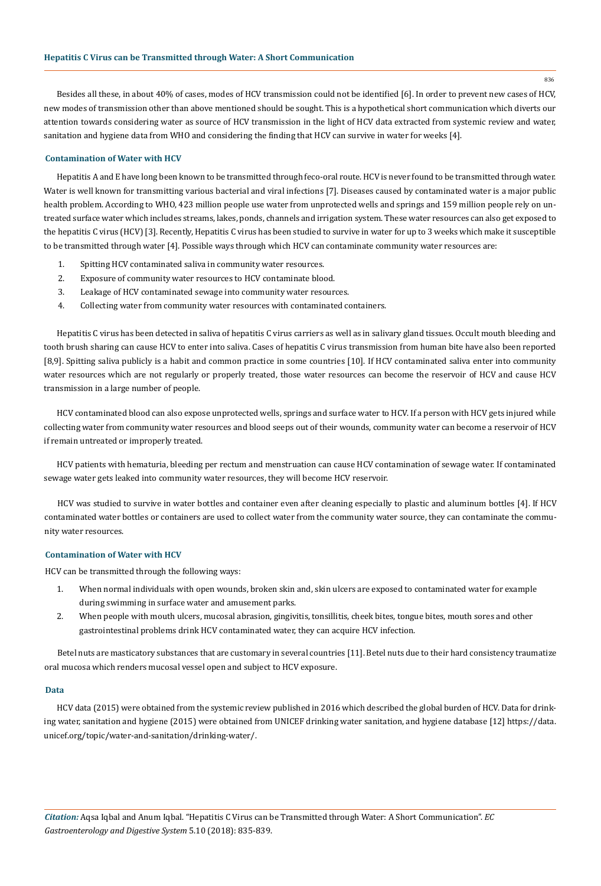Besides all these, in about 40% of cases, modes of HCV transmission could not be identified [6]. In order to prevent new cases of HCV, new modes of transmission other than above mentioned should be sought. This is a hypothetical short communication which diverts our attention towards considering water as source of HCV transmission in the light of HCV data extracted from systemic review and water, sanitation and hygiene data from WHO and considering the finding that HCV can survive in water for weeks [4].

#### **Contamination of Water with HCV**

Hepatitis A and E have long been known to be transmitted through feco-oral route. HCV is never found to be transmitted through water. Water is well known for transmitting various bacterial and viral infections [7]. Diseases caused by contaminated water is a major public health problem. According to WHO, 423 million people use water from unprotected wells and springs and 159 million people rely on untreated surface water which includes streams, lakes, ponds, channels and irrigation system. These water resources can also get exposed to the hepatitis C virus (HCV) [3]. Recently, Hepatitis C virus has been studied to survive in water for up to 3 weeks which make it susceptible to be transmitted through water [4]. Possible ways through which HCV can contaminate community water resources are:

- 1. Spitting HCV contaminated saliva in community water resources.
- 2. Exposure of community water resources to HCV contaminate blood.
- 3. Leakage of HCV contaminated sewage into community water resources.
- 4. Collecting water from community water resources with contaminated containers.

Hepatitis C virus has been detected in saliva of hepatitis C virus carriers as well as in salivary gland tissues. Occult mouth bleeding and tooth brush sharing can cause HCV to enter into saliva. Cases of hepatitis C virus transmission from human bite have also been reported [8,9]. Spitting saliva publicly is a habit and common practice in some countries [10]. If HCV contaminated saliva enter into community water resources which are not regularly or properly treated, those water resources can become the reservoir of HCV and cause HCV transmission in a large number of people.

HCV contaminated blood can also expose unprotected wells, springs and surface water to HCV. If a person with HCV gets injured while collecting water from community water resources and blood seeps out of their wounds, community water can become a reservoir of HCV if remain untreated or improperly treated.

HCV patients with hematuria, bleeding per rectum and menstruation can cause HCV contamination of sewage water. If contaminated sewage water gets leaked into community water resources, they will become HCV reservoir.

HCV was studied to survive in water bottles and container even after cleaning especially to plastic and aluminum bottles [4]. If HCV contaminated water bottles or containers are used to collect water from the community water source, they can contaminate the community water resources.

#### **Contamination of Water with HCV**

HCV can be transmitted through the following ways:

- 1. When normal individuals with open wounds, broken skin and, skin ulcers are exposed to contaminated water for example during swimming in surface water and amusement parks.
- 2. When people with mouth ulcers, mucosal abrasion, gingivitis, tonsillitis, cheek bites, tongue bites, mouth sores and other gastrointestinal problems drink HCV contaminated water, they can acquire HCV infection.

Betel nuts are masticatory substances that are customary in several countries [11]. Betel nuts due to their hard consistency traumatize oral mucosa which renders mucosal vessel open and subject to HCV exposure.

#### **Data**

HCV data (2015) were obtained from the systemic review published in 2016 which described the global burden of HCV. Data for drinking water, sanitation and hygiene (2015) were obtained from UNICEF drinking water sanitation, and hygiene database [12] [https://data.](https://data.unicef.org/topic/water-and-sanitation/drinking-water/) [unicef.org/topic/water-and-sanitation/drinking-water/.](https://data.unicef.org/topic/water-and-sanitation/drinking-water/)

836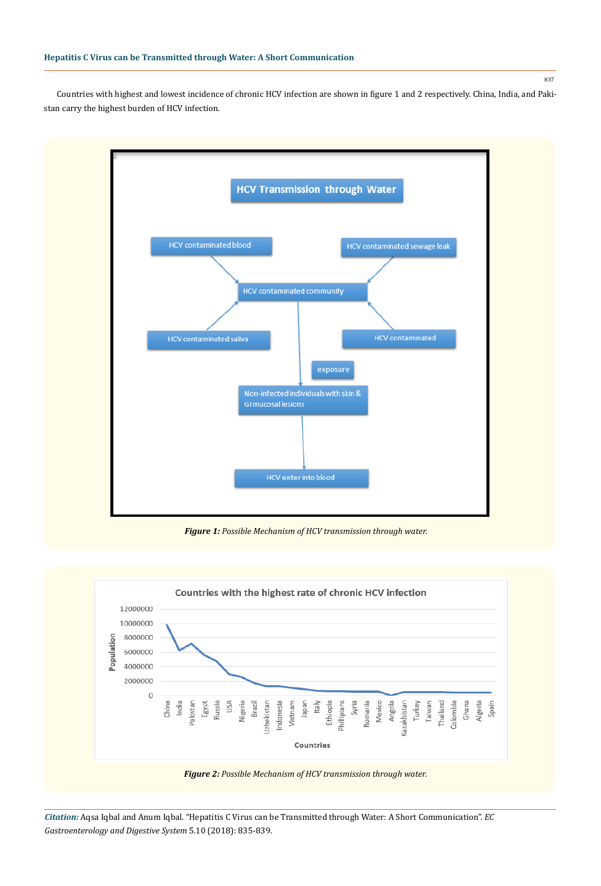Countries with highest and lowest incidence of chronic HCV infection are shown in figure 1 and 2 respectively. China, India, and Pakistan carry the highest burden of HCV infection.



*Figure 1: Possible Mechanism of HCV transmission through water.*



*Citation:* Aqsa Iqbal and Anum Iqbal. "Hepatitis C Virus can be Transmitted through Water: A Short Communication". *EC Gastroenterology and Digestive System* 5.10 (2018): 835-839.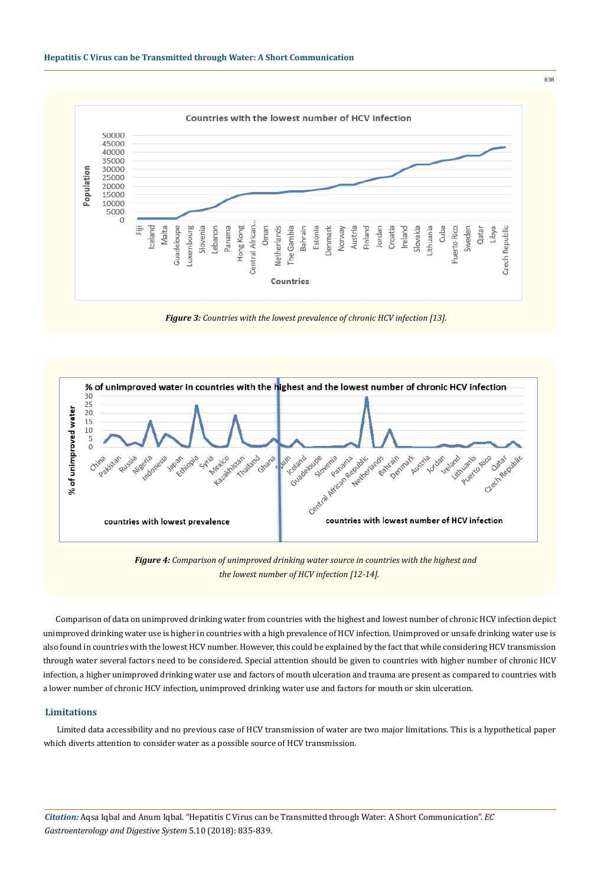



*Figure 3: Countries with the lowest prevalence of chronic HCV infection [13].*



*Figure 4: Comparison of unimproved drinking water source in countries with the highest and the lowest number of HCV infection [12-14].*

Comparison of data on unimproved drinking water from countries with the highest and lowest number of chronic HCV infection depict unimproved drinking water use is higher in countries with a high prevalence of HCV infection. Unimproved or unsafe drinking water use is also found in countries with the lowest HCV number. However, this could be explained by the fact that while considering HCV transmission through water several factors need to be considered. Special attention should be given to countries with higher number of chronic HCV infection, a higher unimproved drinking water use and factors of mouth ulceration and trauma are present as compared to countries with a lower number of chronic HCV infection, unimproved drinking water use and factors for mouth or skin ulceration.

### **Limitations**

Limited data accessibility and no previous case of HCV transmission of water are two major limitations. This is a hypothetical paper which diverts attention to consider water as a possible source of HCV transmission.